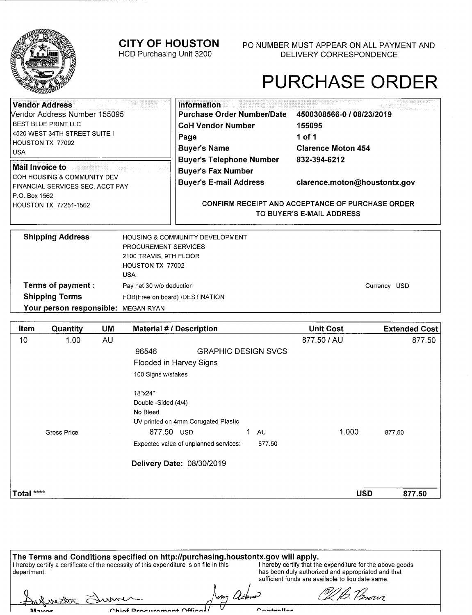

Mount

#### **CITY OF HOUSTON**

HCD Purchasing Unit 3200

P0 NUMBER MUST APPEAR ON ALL PAYMENT AND DELIVERY CORRESPONDENCE

### PURCHASE ORDER

| <b>Vendor Address</b>                                           | <b>Information</b>                |                                                         |  |
|-----------------------------------------------------------------|-----------------------------------|---------------------------------------------------------|--|
| <b>Nendor Address Number 155095</b>                             | <b>Purchase Order Number/Date</b> | 4500308566-0 / 08/23/2019                               |  |
| <b>BEST BLUE PRINT LLC</b>                                      | <b>CoH Vendor Number</b>          | 155095                                                  |  |
| 4520 WEST 34TH STREET SUITE I                                   | Page                              | 1 of 1                                                  |  |
| HOUSTON TX 77092<br><b>USA</b>                                  | <b>Buyer's Name</b>               | <b>Clarence Moton 454</b>                               |  |
|                                                                 | <b>Buyer's Telephone Number</b>   | 832-394-6212                                            |  |
| <b>Mail Invoice to</b>                                          | <b>Buyer's Fax Number</b>         |                                                         |  |
| COH HOUSING & COMMUNITY DEV<br>FINANCIAL SERVICES SEC. ACCT PAY | <b>Buyer's E-mail Address</b>     | clarence.moton@houstontx.gov                            |  |
| P.O. Box 1562                                                   |                                   |                                                         |  |
| HOUSTON TX 77251-1562                                           |                                   | <b>CONFIRM RECEIPT AND ACCEPTANCE OF PURCHASE ORDER</b> |  |
|                                                                 |                                   | TO BUYER'S E-MAIL ADDRESS                               |  |
|                                                                 |                                   |                                                         |  |
| <b>Shinning Address</b>                                         | HOLISING & COMMUNITY DEVELOPMENT  |                                                         |  |

| <b>Shipping Address</b>             | <b>HOUSING &amp; COMMUNITY DEVELOPMENT</b> |              |
|-------------------------------------|--------------------------------------------|--------------|
|                                     | <b>PROCUREMENT SERVICES</b>                |              |
|                                     | 2100 TRAVIS, 9TH FLOOR                     |              |
|                                     | HOUSTON TX 77002                           |              |
|                                     | <b>USA</b>                                 |              |
| Terms of payment :                  | Pay net 30 w/o deduction                   | Currency USD |
| <b>Shipping Terms</b>               | FOB(Free on board) /DESTINATION            |              |
| Your person responsible: MEGAN RYAN |                                            |              |

| Item       | Quantity    | <b>UM</b> | <b>Material # / Description</b>       |                            | <b>Unit Cost</b> | <b>Extended Cost</b> |
|------------|-------------|-----------|---------------------------------------|----------------------------|------------------|----------------------|
| 10         | 1.00        | AU        |                                       |                            | 877.50 / AU      | 877.50               |
|            |             |           | 96546                                 | <b>GRAPHIC DESIGN SVCS</b> |                  |                      |
|            |             |           | Flooded in Harvey Signs               |                            |                  |                      |
|            |             |           | 100 Signs w/stakes                    |                            |                  |                      |
|            |             |           | 18"x24"                               |                            |                  |                      |
|            |             |           | Double -Sided (4/4)                   |                            |                  |                      |
|            |             |           | No Bleed                              |                            |                  |                      |
|            |             |           | UV printed on 4mm Corugated Plastic   |                            |                  |                      |
|            | Gross Price |           | 877.50 USD                            | 1.<br><b>AU</b>            | 1.000            | 877.50               |
|            |             |           | Expected value of unplanned services: | 877.50                     |                  |                      |
|            |             |           | Delivery Date: 08/30/2019             |                            |                  |                      |
|            |             |           |                                       |                            |                  |                      |
| Total **** |             |           |                                       |                            | <b>USD</b>       | 877.50               |

| The Terms and Conditions specified on http://purchasing.houstontx.gov will apply.                      |             |                                                                                                                                                                      |
|--------------------------------------------------------------------------------------------------------|-------------|----------------------------------------------------------------------------------------------------------------------------------------------------------------------|
| I hereby certify a certificate of the necessity of this expenditure is on file in this<br>  department |             | I hereby certify that the expenditure for the above goods<br>has been duly authorized and appropriated and that<br>sufficient funds are available to liquidate same. |
| Authorizon Surver                                                                                      | Neny ackers | Of B. Person                                                                                                                                                         |

ℸ

Controller

Chinf Droouramant Offices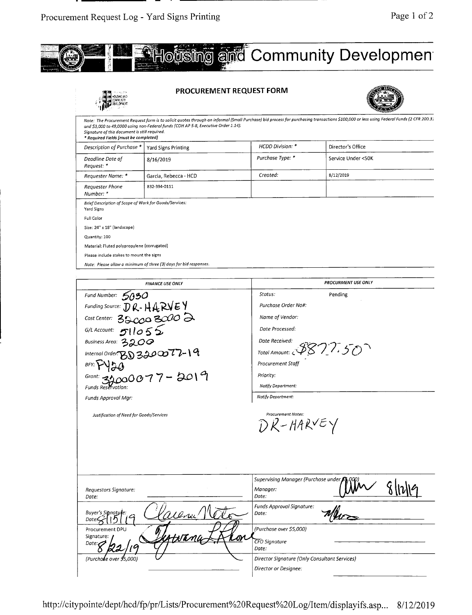

|                                                                                        | <b>PROCUREMENT REQUEST FORM</b>                                                    |                  |                                                                                                                                                                                          |
|----------------------------------------------------------------------------------------|------------------------------------------------------------------------------------|------------------|------------------------------------------------------------------------------------------------------------------------------------------------------------------------------------------|
| Signature of this document is still required.<br>* Required Fields [must be completed] | and \$3,000 to 49,0000 using non-Federal funds (COH AP 5-8, Executive Order 1.14). |                  | Note: The Procurement Request form is to solicit quotes through an informal (Small Purchase) bid process for purchasing transactions \$100,000 or less using Federal Funds (2 CFR 200.31 |
| Description of Purchase *                                                              | Yard Signs Printing                                                                | HCDD Division: * | Director's Office                                                                                                                                                                        |
| Deadline Date of<br>Request: *                                                         | 8/16/2019                                                                          | Purchase Type: * | Service Under <50K                                                                                                                                                                       |
| Requester Name: *                                                                      | Garcia, Rebecca - HCD                                                              | Created:         | 8/12/2019                                                                                                                                                                                |
| Requester Phone<br>Number: *                                                           | 832-394-0111                                                                       |                  |                                                                                                                                                                                          |
| Brief Description of Scope of Work for Goods/Services:<br>Yard Signs                   |                                                                                    |                  |                                                                                                                                                                                          |
| Full Color                                                                             |                                                                                    |                  |                                                                                                                                                                                          |
| Size: 24" x 18" (landscape)                                                            |                                                                                    |                  |                                                                                                                                                                                          |
| Quantity: 100                                                                          |                                                                                    |                  |                                                                                                                                                                                          |
| Material: Fluted polypropylene (corrugated)                                            |                                                                                    |                  |                                                                                                                                                                                          |
| Please include stakes to mount the signs                                               |                                                                                    |                  |                                                                                                                                                                                          |
|                                                                                        | Note: Please allow a minimum of three (3) days for bid responses.                  |                  |                                                                                                                                                                                          |

| <b>FINANCE USE ONLY</b>                                                                                               | <b>PROCURMENT USE ONLY</b>                    |
|-----------------------------------------------------------------------------------------------------------------------|-----------------------------------------------|
| Fund Number: $5050$                                                                                                   | Status:<br>Pending                            |
| Funding Source: $\mathcal{D} \mathcal{R}$ - $\mathcal{H} \mathcal{A} \mathcal{R} \mathcal{V} \mathcal{E} \mathcal{V}$ | Purchase Order No#:                           |
| Cost Center: 3200 3000 2                                                                                              | Name of Vendor:                               |
| G/LAccount: $511055$                                                                                                  | Date Processed:                               |
| Business Area: 3200                                                                                                   | Date Received:                                |
| Internal Order: $BDS200077 - 19$                                                                                      | Total Amount: 3877.50                         |
| BFY:                                                                                                                  | <b>Procurement Staff</b>                      |
| Grant: 32000077-2019                                                                                                  | Priority:                                     |
| <b>Funds Reservation</b>                                                                                              | Notify Department:                            |
| Funds Approval Mgr:                                                                                                   | Notify Department:                            |
|                                                                                                                       | DR-HARVEY                                     |
|                                                                                                                       | Supervising Manager (Purchase under,          |
| Requestors Signature:<br>Date:                                                                                        | Manager:<br>Date:                             |
| Ulnu!<br>Buyer's Sitnatule:<br>Date                                                                                   | Funds Approval Signature:<br>Date:            |
| Procurement DPU                                                                                                       | (Purchase over \$5,000)                       |
| HNEML<br>Signature:<br>Date: $\mathcal O$                                                                             | <b>CFO</b> Signature<br>Date.                 |
| (Purchase over 95.000)                                                                                                | Director Signature (Only Consultant Services) |
|                                                                                                                       | Director or Designee:                         |

http://citypointe/dept/hcd/fp/pr/Lists/Procurement%20Request%20Log/Item/displayifs.asp... 8/12/2019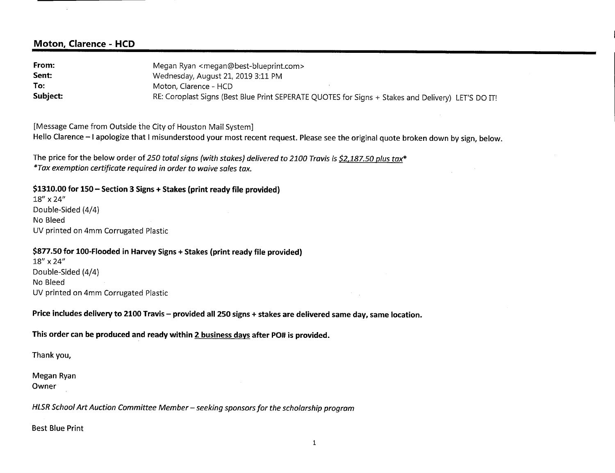#### **Moton, Clarence - HCD**

**From:** Megan Ryan <megan@best-blueprint.com> **Sent:** Wednesday, August 21, 2019 3:11 PM To: Moton, Clarence - HCD **Subject:** RE: Coroplast Signs (Best Blue Print SEPERATE QUOTES for Signs + Stakes and Delivery) LET'S DO IT!

[Message Came from Outside the City of Houston Mail System] Hello Clarence - I apologize that I misunderstood your most recent request. Please see the original quote broken down by sign, below.

The price for the below order of 250 total signs (with stakes) delivered to 2100 Travis is \$2,187.50 plus tax<sup>\*</sup> *\*Tax exemption certificate required in order to waive sales tax.* 

**\$1310.00 for 150— Section 3 Signs + Stakes (print ready file provided)** 

18" x 24" Double-Sided (4/4) No Bleed UV printed on 4mm Corrugated Plastic

#### **\$877.50 for 100-Flooded in Harvey Signs + Stakes (print ready file provided)**

18" x 24" Double-Sided (4/4) No Bleed UV printed on 4mm Corrugated Plastic

**Price includes delivery to 2100 Travis** — **provided all 250 signs + stakes are delivered same day, same location.** 

**This order can be produced and ready within 2 business days after PO# is provided.** 

Thank you,

Megan Ryan Owner

*HLSR School Art Auction Committee Member — seeking sponsors for the scholarship program* 

**Best Blue** Print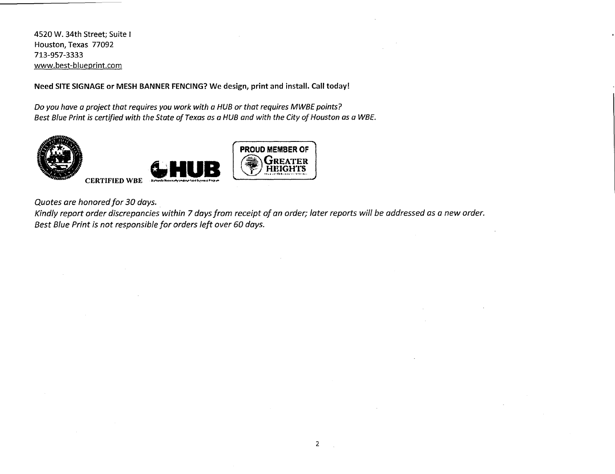4520 W. 34th Street; Suite I Houston, Texas 77092 713-957-3333 www.best-blueprint.com

Need SITE SIGNAGE or MESH BANNER FENCING? We design, print and install. Call today!

Do you have a project that requires you work with a HUB or that requires MWBE points? Best Blue Print is certified with the State of Texas as a HUB and with the City of Houston as a WBE.



Quotes are honored for 30 days.

Kindly report order discrepancies within 7 days from receipt of an order; later reports will be addressed as a new order. Best Blue Print is not responsible for orders left over 60 days.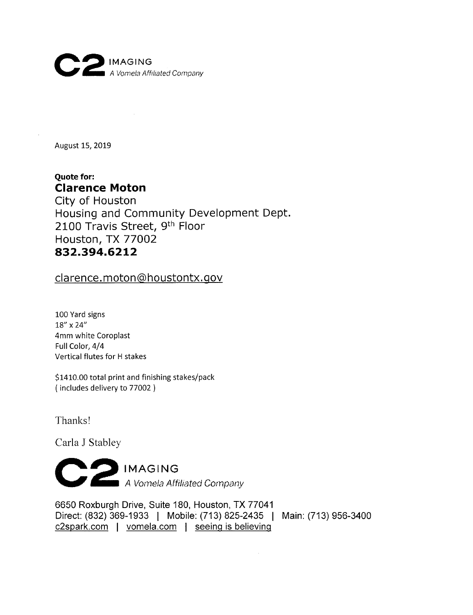

August 15, 2019

#### **Quote for:**  Clarence **Moton**

City of Houston Housing and Community Development Dept. 2100 Travis Street, 9<sup>th</sup> Floor Houston, TX 77002 832.394.6212

clarence. moton@houstontx.gov

100 Yard signs 18" x 24" 4mm white Coroplast Full Color, 4/4 Vertical flutes for H stakes

\$1410.00 total print and finishing stakes/pack (includes delivery to 77002)

Thanks!

Carla J Stabley

**C 2 IMAGING**  *A Vornela A fftha ted Corn pa ry* 

6650 Roxburgh Drive, Suite 180, Houston, TX 77041 Direct: (832) 369-1933 I Mobile: (713) 825-2435 I Main: (713) 956-3400 c2spark.com I vomela.com I seeing is believing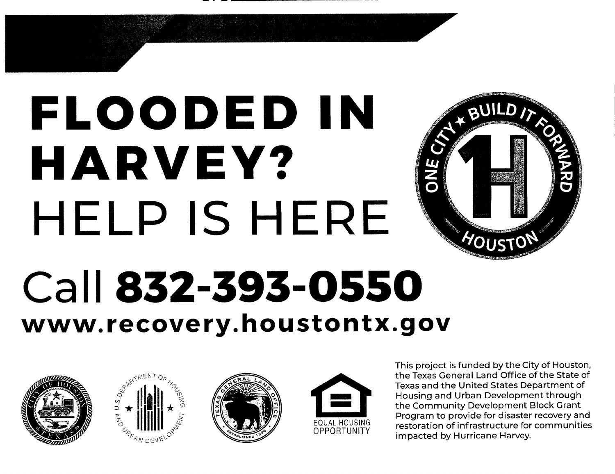# **FLOODED IN HARVEY?**  HELP IS HERE



## **Call 832-393-0550 www. recovery. houstontx.gov**









This project is funded by the City of Houston, the Texas General Land Office of the State of Texas and the United States Department of Housing and Urban Development through the Community Development Block Grant Program to provide for disaster recovery and restoration of infrastructure for communities impacted by Hurricane Harvey.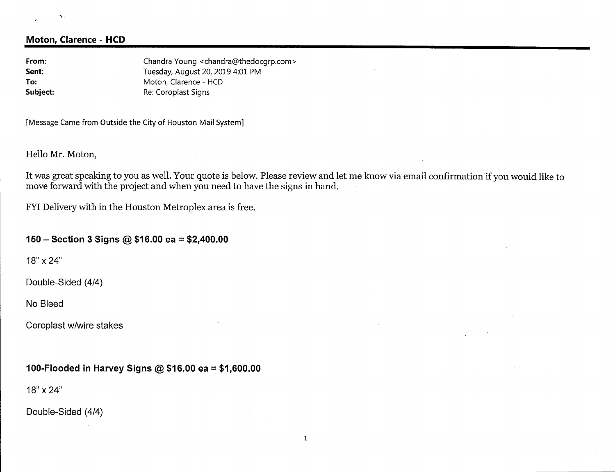#### $\mathbf{S}$  :

#### **Moton, Clarence - HCD**

From: Chandra Young <chandra@thedocgrp.com> **Sent:** Tuesday, August 20, 2019 4:01 PM To: Moton, Clarence - HCD **Subject:** Re: Coroplast Signs

[Message Came from Outside the City of Houston Mail System]

Hello Mr. Moton,

It was great speaking to you as well. Your quote is below. Please review and let me know via email confirmation if you would like to move forward with the project and when you need to have the signs in hand.

FYI Delivery with in the Houston Metroplex area is free.

#### **150** — Section **3 Signs** @ **\$16.00 ea** = **\$2,400.00**

18" x 24"

Double-Sided (4/4)

No Bleed

Coroplast w/wire **stakes** 

#### **100-Flooded in Harvey Signs** @ **\$16.00 ea** = **\$1,600.00**

18" x 24"

Double-Sided (4/4)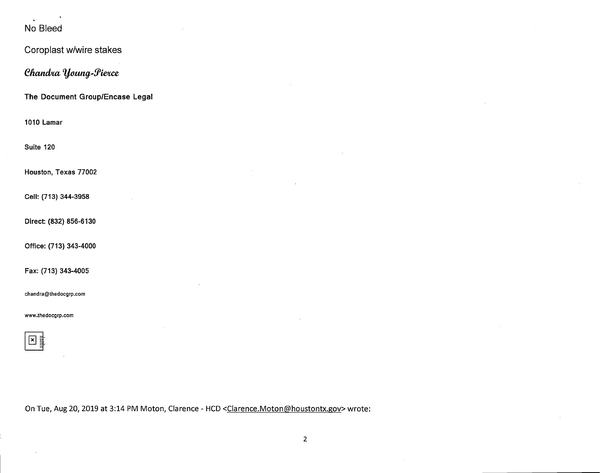#### No Bleed

 $\bar{z}$ 

| Coroplast w/wire stakes         |
|---------------------------------|
| Chandra Young-Pierce            |
| The Document Group/Encase Legal |
| 1010 Lamar                      |
| Suite 120                       |
| Houston, Texas 77002            |
| Cell: (713) 344-3958            |
| Direct: (832) 856-6130          |
| Office: (713) 343-4000          |
| Fax: (713) 343-4005             |
| chandra@thedocgrp.com           |
| www.thedocgrp.com               |
| $\mathbf{z}$<br>itiriitii       |

On Tue, Aug 20, 2019 at 3:14 PM Moton, Clarence - HCD <Clarence.Moton@houstontx.gov> wrote:

 $\sim$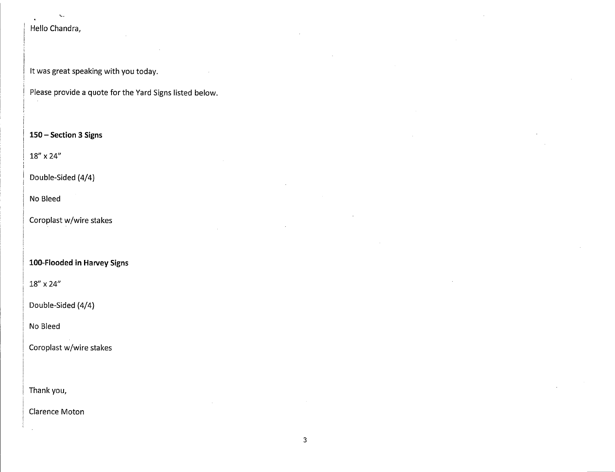#### Hello Chandra,

 $\mathbf{v}$ 

It was great speaking with you today.

Please provide a quote for the Yard Signs listed below.

#### **150— Section 3 Signs**

18" x 24"

#### Double-Sided (4/4)

No Bleed

#### Coroplast w/wire stakes

#### **100-Flooded in Harvey Signs**

18" x 24"

Double-Sided (4/4)

No Bleed

Coroplast w/wire stakes

Thank you,

Clarence Moton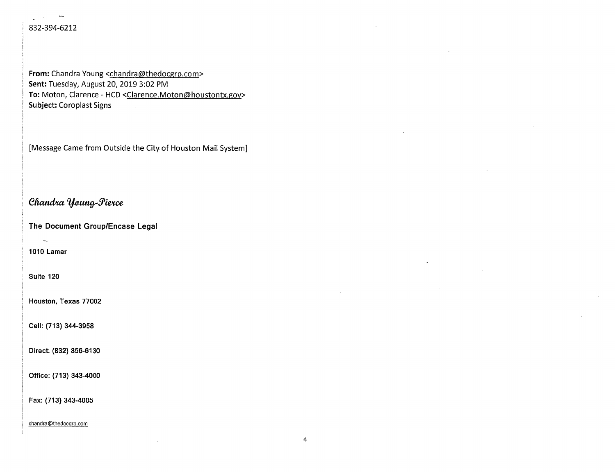#### 832-394-6212

 $\omega_{\rm M}$ 

 $\mathbf{r}^{(1)}$  and  $\mathbf{r}^{(2)}$ 

From: Chandra Young <chandra@thedocgrp.com> Sent: Tuesday, August 20, 2019 3:02 PM To: Moton, Clarence - HCD <Clarence.Moton@houstontx.gov> Subject: Coroplast Signs

[Message Came from Outside the City of Houston Mail System]

#### **Chandra Young-Pierce**

**The Document Group/Encase Legal** 

1010 Lamar

 $\omega_{\rm x}$ 

Suite 120

Houston, Texas 77002

Cell: (713) 344-3958

Direct: (832) 856-6130

Office: (713) 343-4000

Fax: (713) 343-4005

chandra@thedocqrp.com